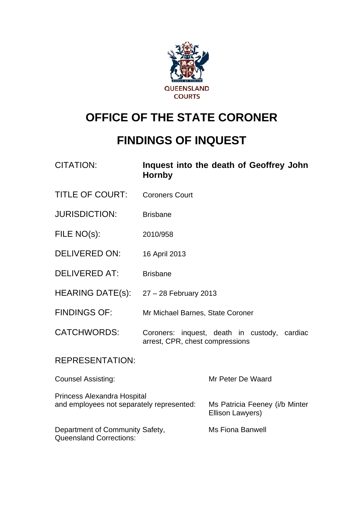

# **OFFICE OF THE STATE CORONER**

# **FINDINGS OF INQUEST**

| <b>CITATION:</b>                                                         | <b>Hornby</b>                    | Inquest into the death of Geoffrey John            |
|--------------------------------------------------------------------------|----------------------------------|----------------------------------------------------|
| <b>TITLE OF COURT:</b>                                                   | <b>Coroners Court</b>            |                                                    |
| <b>JURISDICTION:</b>                                                     | <b>Brisbane</b>                  |                                                    |
| FILE NO(s):                                                              | 2010/958                         |                                                    |
| <b>DELIVERED ON:</b>                                                     | 16 April 2013                    |                                                    |
| <b>DELIVERED AT:</b>                                                     | <b>Brisbane</b>                  |                                                    |
| <b>HEARING DATE(s):</b>                                                  | $27 - 28$ February 2013          |                                                    |
| <b>FINDINGS OF:</b>                                                      | Mr Michael Barnes, State Coroner |                                                    |
| <b>CATCHWORDS:</b>                                                       | arrest, CPR, chest compressions  | Coroners: inquest, death in custody, cardiac       |
| <b>REPRESENTATION:</b>                                                   |                                  |                                                    |
| <b>Counsel Assisting:</b>                                                |                                  | Mr Peter De Waard                                  |
| Princess Alexandra Hospital<br>and employees not separately represented: |                                  | Ms Patricia Feeney (i/b Minter<br>Ellison Lawyers) |
| Department of Community Safety,<br><b>Queensland Corrections:</b>        |                                  | <b>Ms Fiona Banwell</b>                            |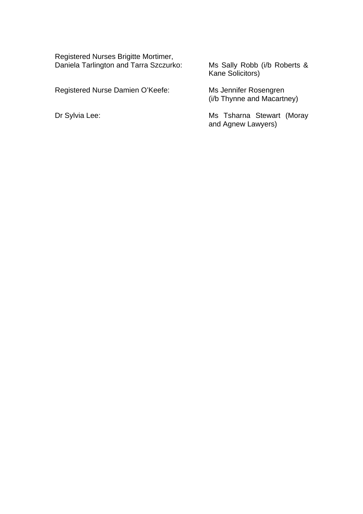Registered Nurses Brigitte Mortimer, Daniela Tarlington and Tarra Szczurko: Ms Sally Robb (i/b Roberts &

Registered Nurse Damien O'Keefe:

Ms Sally Robb (i/b Roberts &<br>Kane Solicitors)

Ms Jennifer Rosengren<br>(i/b Thynne and Macartney)

Dr Sylvia Lee: Mis Tsharna Stewart (Moray and Agnew Lawyers)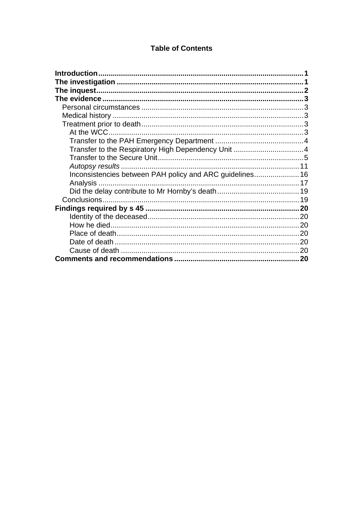# **Table of Contents**

| Inconsistencies between PAH policy and ARC guidelines 16 |  |
|----------------------------------------------------------|--|
|                                                          |  |
|                                                          |  |
|                                                          |  |
|                                                          |  |
|                                                          |  |
|                                                          |  |
|                                                          |  |
|                                                          |  |
|                                                          |  |
|                                                          |  |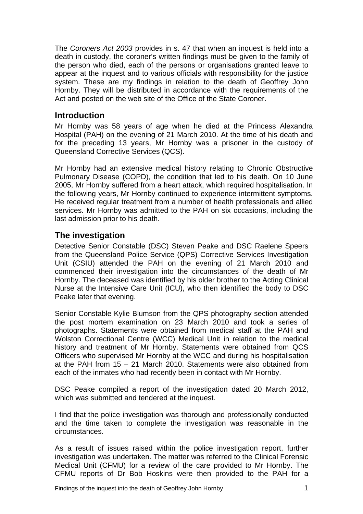<span id="page-3-0"></span>The *Coroners Act 2003* provides in s. 47 that when an inquest is held into a death in custody, the coroner's written findings must be given to the family of the person who died, each of the persons or organisations granted leave to appear at the inquest and to various officials with responsibility for the justice system. These are my findings in relation to the death of Geoffrey John Hornby. They will be distributed in accordance with the requirements of the Act and posted on the web site of the Office of the State Coroner.

#### **Introduction**

Mr Hornby was 58 years of age when he died at the Princess Alexandra Hospital (PAH) on the evening of 21 March 2010. At the time of his death and for the preceding 13 years, Mr Hornby was a prisoner in the custody of Queensland Corrective Services (QCS).

Mr Hornby had an extensive medical history relating to Chronic Obstructive Pulmonary Disease (COPD), the condition that led to his death. On 10 June 2005, Mr Hornby suffered from a heart attack, which required hospitalisation. In the following years, Mr Hornby continued to experience intermittent symptoms. He received regular treatment from a number of health professionals and allied services. Mr Hornby was admitted to the PAH on six occasions, including the last admission prior to his death.

## **The investigation**

Detective Senior Constable (DSC) Steven Peake and DSC Raelene Speers from the Queensland Police Service (QPS) Corrective Services Investigation Unit (CSIU) attended the PAH on the evening of 21 March 2010 and commenced their investigation into the circumstances of the death of Mr Hornby. The deceased was identified by his older brother to the Acting Clinical Nurse at the Intensive Care Unit (ICU), who then identified the body to DSC Peake later that evening.

Senior Constable Kylie Blumson from the QPS photography section attended the post mortem examination on 23 March 2010 and took a series of photographs. Statements were obtained from medical staff at the PAH and Wolston Correctional Centre (WCC) Medical Unit in relation to the medical history and treatment of Mr Hornby. Statements were obtained from QCS Officers who supervised Mr Hornby at the WCC and during his hospitalisation at the PAH from 15 – 21 March 2010. Statements were also obtained from each of the inmates who had recently been in contact with Mr Hornby.

DSC Peake compiled a report of the investigation dated 20 March 2012, which was submitted and tendered at the inquest.

I find that the police investigation was thorough and professionally conducted and the time taken to complete the investigation was reasonable in the circumstances.

As a result of issues raised within the police investigation report, further investigation was undertaken. The matter was referred to the Clinical Forensic Medical Unit (CFMU) for a review of the care provided to Mr Hornby. The CFMU reports of Dr Bob Hoskins were then provided to the PAH for a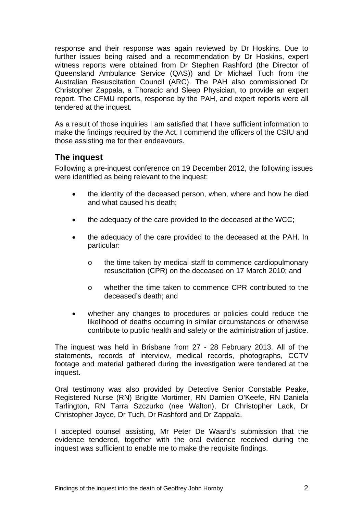<span id="page-4-0"></span>response and their response was again reviewed by Dr Hoskins. Due to further issues being raised and a recommendation by Dr Hoskins, expert witness reports were obtained from Dr Stephen Rashford (the Director of Queensland Ambulance Service (QAS)) and Dr Michael Tuch from the Australian Resuscitation Council (ARC). The PAH also commissioned Dr Christopher Zappala, a Thoracic and Sleep Physician, to provide an expert report. The CFMU reports, response by the PAH, and expert reports were all tendered at the inquest.

As a result of those inquiries I am satisfied that I have sufficient information to make the findings required by the Act. I commend the officers of the CSIU and those assisting me for their endeavours.

# **The inquest**

Following a pre-inquest conference on 19 December 2012, the following issues were identified as being relevant to the inquest:

- the identity of the deceased person, when, where and how he died and what caused his death;
- the adequacy of the care provided to the deceased at the WCC;
- the adequacy of the care provided to the deceased at the PAH. In particular:
	- o the time taken by medical staff to commence cardiopulmonary resuscitation (CPR) on the deceased on 17 March 2010; and
	- o whether the time taken to commence CPR contributed to the deceased's death; and
- whether any changes to procedures or policies could reduce the likelihood of deaths occurring in similar circumstances or otherwise contribute to public health and safety or the administration of justice.

The inquest was held in Brisbane from 27 - 28 February 2013. All of the statements, records of interview, medical records, photographs, CCTV footage and material gathered during the investigation were tendered at the inquest.

Oral testimony was also provided by Detective Senior Constable Peake, Registered Nurse (RN) Brigitte Mortimer, RN Damien O'Keefe, RN Daniela Tarlington, RN Tarra Szczurko (nee Walton), Dr Christopher Lack, Dr Christopher Joyce, Dr Tuch, Dr Rashford and Dr Zappala.

I accepted counsel assisting, Mr Peter De Waard's submission that the evidence tendered, together with the oral evidence received during the inquest was sufficient to enable me to make the requisite findings.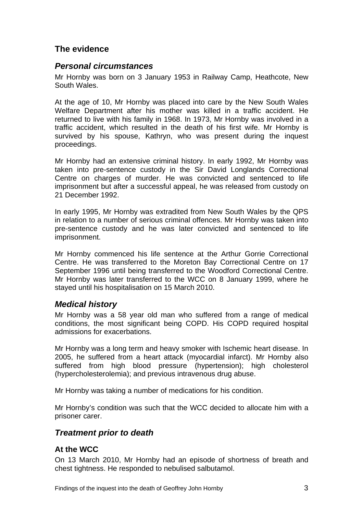# <span id="page-5-0"></span>**The evidence**

#### *Personal circumstances*

Mr Hornby was born on 3 January 1953 in Railway Camp, Heathcote, New South Wales.

At the age of 10, Mr Hornby was placed into care by the New South Wales Welfare Department after his mother was killed in a traffic accident. He returned to live with his family in 1968. In 1973, Mr Hornby was involved in a traffic accident, which resulted in the death of his first wife. Mr Hornby is survived by his spouse, Kathryn, who was present during the inquest proceedings.

Mr Hornby had an extensive criminal history. In early 1992, Mr Hornby was taken into pre-sentence custody in the Sir David Longlands Correctional Centre on charges of murder. He was convicted and sentenced to life imprisonment but after a successful appeal, he was released from custody on 21 December 1992.

In early 1995, Mr Hornby was extradited from New South Wales by the QPS in relation to a number of serious criminal offences. Mr Hornby was taken into pre-sentence custody and he was later convicted and sentenced to life imprisonment.

Mr Hornby commenced his life sentence at the Arthur Gorrie Correctional Centre. He was transferred to the Moreton Bay Correctional Centre on 17 September 1996 until being transferred to the Woodford Correctional Centre. Mr Hornby was later transferred to the WCC on 8 January 1999, where he stayed until his hospitalisation on 15 March 2010.

## *Medical history*

Mr Hornby was a 58 year old man who suffered from a range of medical conditions, the most significant being COPD. His COPD required hospital admissions for exacerbations.

Mr Hornby was a long term and heavy smoker with Ischemic heart disease. In 2005, he suffered from a heart attack (myocardial infarct). Mr Hornby also suffered from high blood pressure (hypertension); high cholesterol (hypercholesterolemia); and previous intravenous drug abuse.

Mr Hornby was taking a number of medications for his condition.

Mr Hornby's condition was such that the WCC decided to allocate him with a prisoner carer.

## *Treatment prior to death*

## **At the WCC**

On 13 March 2010, Mr Hornby had an episode of shortness of breath and chest tightness. He responded to nebulised salbutamol.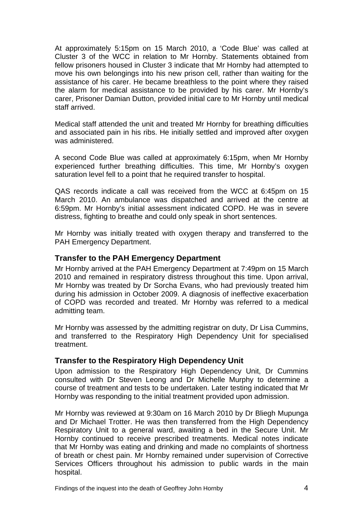<span id="page-6-0"></span>At approximately 5:15pm on 15 March 2010, a 'Code Blue' was called at Cluster 3 of the WCC in relation to Mr Hornby. Statements obtained from fellow prisoners housed in Cluster 3 indicate that Mr Hornby had attempted to move his own belongings into his new prison cell, rather than waiting for the assistance of his carer. He became breathless to the point where they raised the alarm for medical assistance to be provided by his carer. Mr Hornby's carer, Prisoner Damian Dutton, provided initial care to Mr Hornby until medical staff arrived.

Medical staff attended the unit and treated Mr Hornby for breathing difficulties and associated pain in his ribs. He initially settled and improved after oxygen was administered.

A second Code Blue was called at approximately 6:15pm, when Mr Hornby experienced further breathing difficulties. This time, Mr Hornby's oxygen saturation level fell to a point that he required transfer to hospital.

QAS records indicate a call was received from the WCC at 6:45pm on 15 March 2010. An ambulance was dispatched and arrived at the centre at 6:59pm. Mr Hornby's initial assessment indicated COPD. He was in severe distress, fighting to breathe and could only speak in short sentences.

Mr Hornby was initially treated with oxygen therapy and transferred to the PAH Emergency Department.

#### **Transfer to the PAH Emergency Department**

Mr Hornby arrived at the PAH Emergency Department at 7:49pm on 15 March 2010 and remained in respiratory distress throughout this time. Upon arrival, Mr Hornby was treated by Dr Sorcha Evans, who had previously treated him during his admission in October 2009. A diagnosis of ineffective exacerbation of COPD was recorded and treated. Mr Hornby was referred to a medical admitting team.

Mr Hornby was assessed by the admitting registrar on duty, Dr Lisa Cummins, and transferred to the Respiratory High Dependency Unit for specialised treatment.

#### **Transfer to the Respiratory High Dependency Unit**

Upon admission to the Respiratory High Dependency Unit, Dr Cummins consulted with Dr Steven Leong and Dr Michelle Murphy to determine a course of treatment and tests to be undertaken. Later testing indicated that Mr Hornby was responding to the initial treatment provided upon admission.

Mr Hornby was reviewed at 9:30am on 16 March 2010 by Dr Bliegh Mupunga and Dr Michael Trotter. He was then transferred from the High Dependency Respiratory Unit to a general ward, awaiting a bed in the Secure Unit. Mr Hornby continued to receive prescribed treatments. Medical notes indicate that Mr Hornby was eating and drinking and made no complaints of shortness of breath or chest pain. Mr Hornby remained under supervision of Corrective Services Officers throughout his admission to public wards in the main hospital.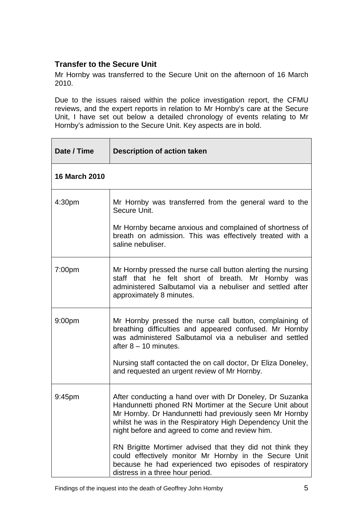## <span id="page-7-0"></span>**Transfer to the Secure Unit**

Mr Hornby was transferred to the Secure Unit on the afternoon of 16 March 2010.

Due to the issues raised within the police investigation report, the CFMU reviews, and the expert reports in relation to Mr Hornby's care at the Secure Unit, I have set out below a detailed chronology of events relating to Mr Hornby's admission to the Secure Unit. Key aspects are in bold.

| Date / Time          | <b>Description of action taken</b>                                                                                                                                                                                                                                                             |
|----------------------|------------------------------------------------------------------------------------------------------------------------------------------------------------------------------------------------------------------------------------------------------------------------------------------------|
| <b>16 March 2010</b> |                                                                                                                                                                                                                                                                                                |
| 4:30pm               | Mr Hornby was transferred from the general ward to the<br>Secure Unit.                                                                                                                                                                                                                         |
|                      | Mr Hornby became anxious and complained of shortness of<br>breath on admission. This was effectively treated with a<br>saline nebuliser.                                                                                                                                                       |
| 7:00 <sub>pm</sub>   | Mr Hornby pressed the nurse call button alerting the nursing<br>staff that he felt short of breath. Mr Hornby was<br>administered Salbutamol via a nebuliser and settled after<br>approximately 8 minutes.                                                                                     |
| 9:00 <sub>pm</sub>   | Mr Hornby pressed the nurse call button, complaining of<br>breathing difficulties and appeared confused. Mr Hornby<br>was administered Salbutamol via a nebuliser and settled<br>after $8 - 10$ minutes.                                                                                       |
|                      | Nursing staff contacted the on call doctor, Dr Eliza Doneley,<br>and requested an urgent review of Mr Hornby.                                                                                                                                                                                  |
| 9:45pm               | After conducting a hand over with Dr Doneley, Dr Suzanka<br>Handunnetti phoned RN Mortimer at the Secure Unit about<br>Mr Hornby. Dr Handunnetti had previously seen Mr Hornby<br>whilst he was in the Respiratory High Dependency Unit the<br>night before and agreed to come and review him. |
|                      | RN Brigitte Mortimer advised that they did not think they<br>could effectively monitor Mr Hornby in the Secure Unit<br>because he had experienced two episodes of respiratory<br>distress in a three hour period.                                                                              |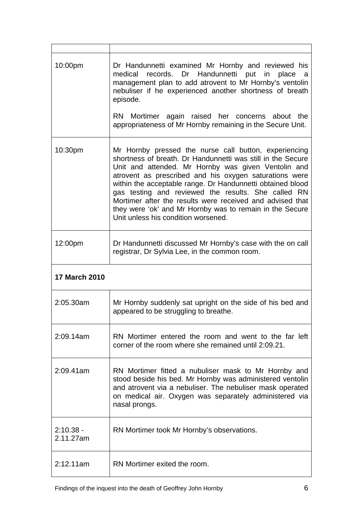| 10:00pm                  | Dr Handunnetti examined Mr Hornby and reviewed his<br>medical records. Dr Handunnetti put in place a<br>management plan to add atrovent to Mr Hornby's ventolin<br>nebuliser if he experienced another shortness of breath<br>episode.<br>RN Mortimer again raised her concerns about the                                                                                                                                                                                                                                  |
|--------------------------|----------------------------------------------------------------------------------------------------------------------------------------------------------------------------------------------------------------------------------------------------------------------------------------------------------------------------------------------------------------------------------------------------------------------------------------------------------------------------------------------------------------------------|
|                          | appropriateness of Mr Hornby remaining in the Secure Unit.                                                                                                                                                                                                                                                                                                                                                                                                                                                                 |
| 10:30pm                  | Mr Hornby pressed the nurse call button, experiencing<br>shortness of breath. Dr Handunnetti was still in the Secure<br>Unit and attended. Mr Hornby was given Ventolin and<br>atrovent as prescribed and his oxygen saturations were<br>within the acceptable range. Dr Handunnetti obtained blood<br>gas testing and reviewed the results. She called RN<br>Mortimer after the results were received and advised that<br>they were 'ok' and Mr Hornby was to remain in the Secure<br>Unit unless his condition worsened. |
| 12:00pm                  | Dr Handunnetti discussed Mr Hornby's case with the on call<br>registrar, Dr Sylvia Lee, in the common room.                                                                                                                                                                                                                                                                                                                                                                                                                |
| <b>17 March 2010</b>     |                                                                                                                                                                                                                                                                                                                                                                                                                                                                                                                            |
| 2:05.30am                | Mr Hornby suddenly sat upright on the side of his bed and<br>appeared to be struggling to breathe.                                                                                                                                                                                                                                                                                                                                                                                                                         |
| 2:09.14am                | RN Mortimer entered the room and went to the far left<br>corner of the room where she remained until 2:09.21.                                                                                                                                                                                                                                                                                                                                                                                                              |
| 2:09.41am                | RN Mortimer fitted a nubuliser mask to Mr Hornby and<br>stood beside his bed. Mr Hornby was administered ventolin<br>and atrovent via a nebuliser. The nebuliser mask operated<br>on medical air. Oxygen was separately administered via                                                                                                                                                                                                                                                                                   |
|                          | nasal prongs.                                                                                                                                                                                                                                                                                                                                                                                                                                                                                                              |
| $2:10.38 -$<br>2.11.27am | RN Mortimer took Mr Hornby's observations.                                                                                                                                                                                                                                                                                                                                                                                                                                                                                 |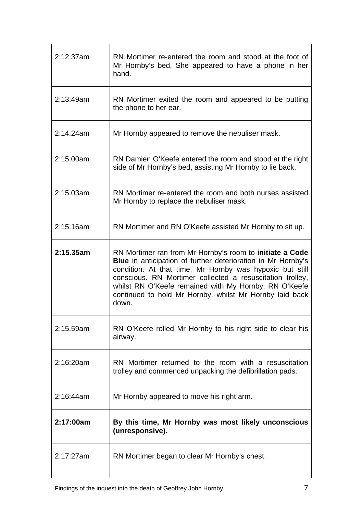| 2:12.37am | RN Mortimer re-entered the room and stood at the foot of<br>Mr Hornby's bed. She appeared to have a phone in her<br>hand.                                                                                                                                                                                                                                                      |
|-----------|--------------------------------------------------------------------------------------------------------------------------------------------------------------------------------------------------------------------------------------------------------------------------------------------------------------------------------------------------------------------------------|
| 2:13.49am | RN Mortimer exited the room and appeared to be putting<br>the phone to her ear.                                                                                                                                                                                                                                                                                                |
| 2:14.24am | Mr Hornby appeared to remove the nebuliser mask.                                                                                                                                                                                                                                                                                                                               |
| 2:15.00am | RN Damien O'Keefe entered the room and stood at the right<br>side of Mr Hornby's bed, assisting Mr Hornby to lie back.                                                                                                                                                                                                                                                         |
| 2:15.03am | RN Mortimer re-entered the room and both nurses assisted<br>Mr Hornby to replace the nebuliser mask.                                                                                                                                                                                                                                                                           |
| 2:15.16am | RN Mortimer and RN O'Keefe assisted Mr Hornby to sit up.                                                                                                                                                                                                                                                                                                                       |
| 2:15.35am | RN Mortimer ran from Mr Hornby's room to initiate a Code<br>Blue in anticipation of further deterioration in Mr Hornby's<br>condition. At that time, Mr Hornby was hypoxic but still<br>conscious. RN Mortimer collected a resuscitation trolley,<br>whilst RN O'Keefe remained with My Hornby. RN O'Keefe<br>continued to hold Mr Hornby, whilst Mr Hornby laid back<br>down. |
| 2:15.59am | RN O'Keefe rolled Mr Hornby to his right side to clear his<br>airway.                                                                                                                                                                                                                                                                                                          |
| 2:16:20am | RN Mortimer returned to the room with a resuscitation<br>trolley and commenced unpacking the defibrillation pads.                                                                                                                                                                                                                                                              |
| 2:16:44am | Mr Hornby appeared to move his right arm.                                                                                                                                                                                                                                                                                                                                      |
| 2:17:00am | By this time, Mr Hornby was most likely unconscious<br>(unresponsive).                                                                                                                                                                                                                                                                                                         |
| 2:17:27am | RN Mortimer began to clear Mr Hornby's chest.                                                                                                                                                                                                                                                                                                                                  |
|           |                                                                                                                                                                                                                                                                                                                                                                                |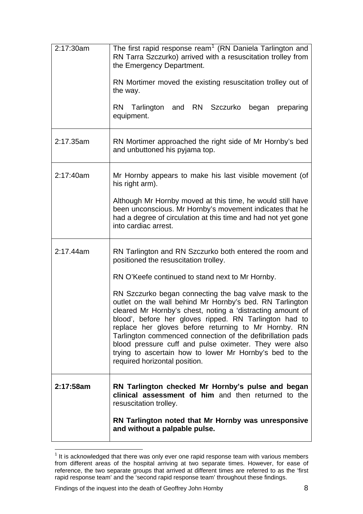| 2:17:30am | The first rapid response ream <sup>1</sup> (RN Daniela Tarlington and<br>RN Tarra Szczurko) arrived with a resuscitation trolley from<br>the Emergency Department.<br>RN Mortimer moved the existing resuscitation trolley out of<br>the way.                                                                                                                                                                                                                                                                          |
|-----------|------------------------------------------------------------------------------------------------------------------------------------------------------------------------------------------------------------------------------------------------------------------------------------------------------------------------------------------------------------------------------------------------------------------------------------------------------------------------------------------------------------------------|
|           | RN Tarlington and RN Szczurko<br>began preparing<br>equipment.                                                                                                                                                                                                                                                                                                                                                                                                                                                         |
| 2:17.35am | RN Mortimer approached the right side of Mr Hornby's bed<br>and unbuttoned his pyjama top.                                                                                                                                                                                                                                                                                                                                                                                                                             |
| 2:17:40am | Mr Hornby appears to make his last visible movement (of<br>his right arm).                                                                                                                                                                                                                                                                                                                                                                                                                                             |
|           | Although Mr Hornby moved at this time, he would still have<br>been unconscious. Mr Hornby's movement indicates that he<br>had a degree of circulation at this time and had not yet gone<br>into cardiac arrest.                                                                                                                                                                                                                                                                                                        |
| 2:17.44am | RN Tarlington and RN Szczurko both entered the room and<br>positioned the resuscitation trolley.                                                                                                                                                                                                                                                                                                                                                                                                                       |
|           | RN O'Keefe continued to stand next to Mr Hornby.                                                                                                                                                                                                                                                                                                                                                                                                                                                                       |
|           | RN Szczurko began connecting the bag valve mask to the<br>outlet on the wall behind Mr Hornby's bed. RN Tarlington<br>cleared Mr Hornby's chest, noting a 'distracting amount of<br>blood', before her gloves ripped. RN Tarlington had to<br>replace her gloves before returning to Mr Hornby. RN<br>Tarlington commenced connection of the defibrillation pads<br>blood pressure cuff and pulse oximeter. They were also<br>trying to ascertain how to lower Mr Hornby's bed to the<br>required horizontal position. |
| 2:17:58am | RN Tarlington checked Mr Hornby's pulse and began<br>clinical assessment of him and then returned to the<br>resuscitation trolley.                                                                                                                                                                                                                                                                                                                                                                                     |
|           | RN Tarlington noted that Mr Hornby was unresponsive<br>and without a palpable pulse.                                                                                                                                                                                                                                                                                                                                                                                                                                   |

<span id="page-10-0"></span>**TERES 10**<br><sup>1</sup> It is acknowledged that there was only ever one rapid response team with various members from different areas of the hospital arriving at two separate times. However, for ease of reference, the two separate groups that arrived at different times are referred to as the 'first rapid response team' and the 'second rapid response team' throughout these findings.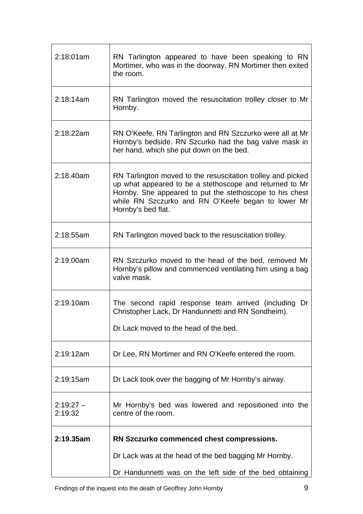| 2:18:01am             | RN Tarlington appeared to have been speaking to RN<br>Mortimer, who was in the doorway. RN Mortimer then exited<br>the room.                                                                                                                                   |
|-----------------------|----------------------------------------------------------------------------------------------------------------------------------------------------------------------------------------------------------------------------------------------------------------|
| 2:18:14am             | RN Tarlington moved the resuscitation trolley closer to Mr<br>Hornby.                                                                                                                                                                                          |
| 2:18:22am             | RN O'Keefe, RN Tarlington and RN Szczurko were all at Mr<br>Hornby's bedside. RN Szcurko had the bag valve mask in<br>her hand, which she put down on the bed.                                                                                                 |
| 2:18.40am             | RN Tarlington moved to the resuscitation trolley and picked<br>up what appeared to be a stethoscope and returned to Mr<br>Hornby. She appeared to put the stethoscope to his chest<br>while RN Szczurko and RN O'Keefe began to lower Mr<br>Hornby's bed flat. |
| 2:18:55am             | RN Tarlington moved back to the resuscitation trolley.                                                                                                                                                                                                         |
| 2:19.00am             | RN Szczurko moved to the head of the bed, removed Mr<br>Hornby's pillow and commenced ventilating him using a bag<br>valve mask.                                                                                                                               |
| 2:19.10am             | The second rapid response team arrived (including Dr<br>Christopher Lack, Dr Handunnetti and RN Sondheim).                                                                                                                                                     |
|                       | Dr Lack moved to the head of the bed.                                                                                                                                                                                                                          |
| 2:19:12am             | Dr Lee, RN Mortimer and RN O'Keefe entered the room.                                                                                                                                                                                                           |
| 2:19:15am             | Dr Lack took over the bagging of Mr Hornby's airway.                                                                                                                                                                                                           |
| $2:19:27-$<br>2:19:32 | Mr Hornby's bed was lowered and repositioned into the<br>centre of the room.                                                                                                                                                                                   |
| 2:19.35am             | RN Szczurko commenced chest compressions.                                                                                                                                                                                                                      |
|                       | Dr Lack was at the head of the bed bagging Mr Hornby.                                                                                                                                                                                                          |
|                       | Dr Handunnetti was on the left side of the bed obtaining                                                                                                                                                                                                       |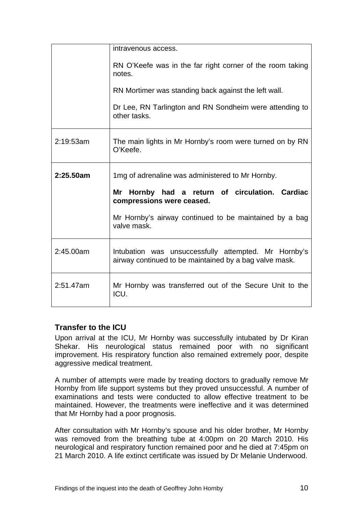|           | intravenous access.                                                                                            |
|-----------|----------------------------------------------------------------------------------------------------------------|
|           | RN O'Keefe was in the far right corner of the room taking<br>notes.                                            |
|           | RN Mortimer was standing back against the left wall.                                                           |
|           | Dr Lee, RN Tarlington and RN Sondheim were attending to<br>other tasks.                                        |
| 2:19:53am | The main lights in Mr Hornby's room were turned on by RN<br>O'Keefe.                                           |
| 2:25.50am | 1mg of adrenaline was administered to Mr Hornby.                                                               |
|           |                                                                                                                |
|           | Mr Hornby had a return of circulation. Cardiac<br>compressions were ceased.                                    |
|           | Mr Hornby's airway continued to be maintained by a bag<br>valve mask.                                          |
| 2:45.00am | Intubation was unsuccessfully attempted. Mr Hornby's<br>airway continued to be maintained by a bag valve mask. |

## **Transfer to the ICU**

Upon arrival at the ICU, Mr Hornby was successfully intubated by Dr Kiran Shekar. His neurological status remained poor with no significant improvement. His respiratory function also remained extremely poor, despite aggressive medical treatment.

A number of attempts were made by treating doctors to gradually remove Mr Hornby from life support systems but they proved unsuccessful. A number of examinations and tests were conducted to allow effective treatment to be maintained. However, the treatments were ineffective and it was determined that Mr Hornby had a poor prognosis.

After consultation with Mr Hornby's spouse and his older brother, Mr Hornby was removed from the breathing tube at 4:00pm on 20 March 2010. His neurological and respiratory function remained poor and he died at 7:45pm on 21 March 2010. A life extinct certificate was issued by Dr Melanie Underwood.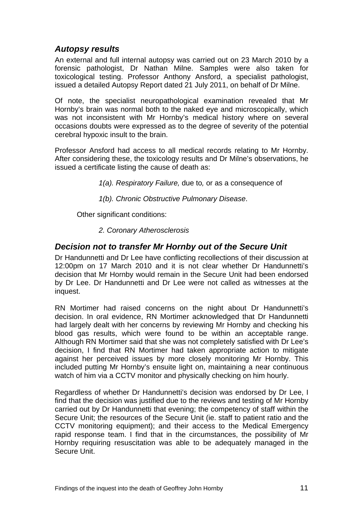## <span id="page-13-0"></span>*Autopsy results*

An external and full internal autopsy was carried out on 23 March 2010 by a forensic pathologist, Dr Nathan Milne. Samples were also taken for toxicological testing. Professor Anthony Ansford, a specialist pathologist, issued a detailed Autopsy Report dated 21 July 2011, on behalf of Dr Milne.

Of note, the specialist neuropathological examination revealed that Mr Hornby's brain was normal both to the naked eye and microscopically, which was not inconsistent with Mr Hornby's medical history where on several occasions doubts were expressed as to the degree of severity of the potential cerebral hypoxic insult to the brain.

Professor Ansford had access to all medical records relating to Mr Hornby. After considering these, the toxicology results and Dr Milne's observations, he issued a certificate listing the cause of death as:

*1(a). Respiratory Failure,* due to*,* or as a consequence of

*1(b). Chronic Obstructive Pulmonary Disease*.

Other significant conditions:

 *2. Coronary Atherosclerosis* 

#### *Decision not to transfer Mr Hornby out of the Secure Unit*

Dr Handunnetti and Dr Lee have conflicting recollections of their discussion at 12:00pm on 17 March 2010 and it is not clear whether Dr Handunnetti's decision that Mr Hornby would remain in the Secure Unit had been endorsed by Dr Lee. Dr Handunnetti and Dr Lee were not called as witnesses at the inquest.

RN Mortimer had raised concerns on the night about Dr Handunnetti's decision. In oral evidence, RN Mortimer acknowledged that Dr Handunnetti had largely dealt with her concerns by reviewing Mr Hornby and checking his blood gas results, which were found to be within an acceptable range. Although RN Mortimer said that she was not completely satisfied with Dr Lee's decision, I find that RN Mortimer had taken appropriate action to mitigate against her perceived issues by more closely monitoring Mr Hornby. This included putting Mr Hornby's ensuite light on, maintaining a near continuous watch of him via a CCTV monitor and physically checking on him hourly.

Regardless of whether Dr Handunnetti's decision was endorsed by Dr Lee, I find that the decision was justified due to the reviews and testing of Mr Hornby carried out by Dr Handunnetti that evening; the competency of staff within the Secure Unit; the resources of the Secure Unit (ie. staff to patient ratio and the CCTV monitoring equipment); and their access to the Medical Emergency rapid response team. I find that in the circumstances, the possibility of Mr Hornby requiring resuscitation was able to be adequately managed in the Secure Unit.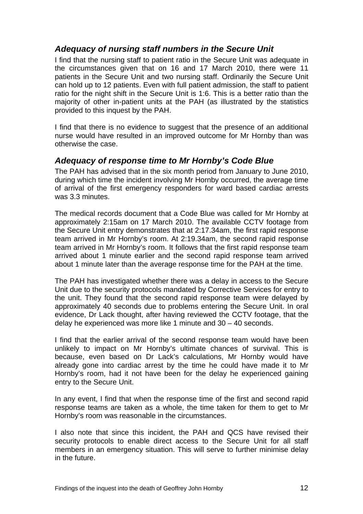## *Adequacy of nursing staff numbers in the Secure Unit*

I find that the nursing staff to patient ratio in the Secure Unit was adequate in the circumstances given that on 16 and 17 March 2010, there were 11 patients in the Secure Unit and two nursing staff. Ordinarily the Secure Unit can hold up to 12 patients. Even with full patient admission, the staff to patient ratio for the night shift in the Secure Unit is 1:6. This is a better ratio than the majority of other in-patient units at the PAH (as illustrated by the statistics provided to this inquest by the PAH.

I find that there is no evidence to suggest that the presence of an additional nurse would have resulted in an improved outcome for Mr Hornby than was otherwise the case.

## *Adequacy of response time to Mr Hornby's Code Blue*

The PAH has advised that in the six month period from January to June 2010, during which time the incident involving Mr Hornby occurred, the average time of arrival of the first emergency responders for ward based cardiac arrests was 3.3 minutes.

The medical records document that a Code Blue was called for Mr Hornby at approximately 2:15am on 17 March 2010. The available CCTV footage from the Secure Unit entry demonstrates that at 2:17.34am, the first rapid response team arrived in Mr Hornby's room. At 2:19.34am, the second rapid response team arrived in Mr Hornby's room. It follows that the first rapid response team arrived about 1 minute earlier and the second rapid response team arrived about 1 minute later than the average response time for the PAH at the time.

The PAH has investigated whether there was a delay in access to the Secure Unit due to the security protocols mandated by Corrective Services for entry to the unit. They found that the second rapid response team were delayed by approximately 40 seconds due to problems entering the Secure Unit. In oral evidence, Dr Lack thought, after having reviewed the CCTV footage, that the delay he experienced was more like 1 minute and 30 – 40 seconds.

I find that the earlier arrival of the second response team would have been unlikely to impact on Mr Hornby's ultimate chances of survival. This is because, even based on Dr Lack's calculations, Mr Hornby would have already gone into cardiac arrest by the time he could have made it to Mr Hornby's room, had it not have been for the delay he experienced gaining entry to the Secure Unit.

In any event, I find that when the response time of the first and second rapid response teams are taken as a whole, the time taken for them to get to Mr Hornby's room was reasonable in the circumstances.

I also note that since this incident, the PAH and QCS have revised their security protocols to enable direct access to the Secure Unit for all staff members in an emergency situation. This will serve to further minimise delay in the future.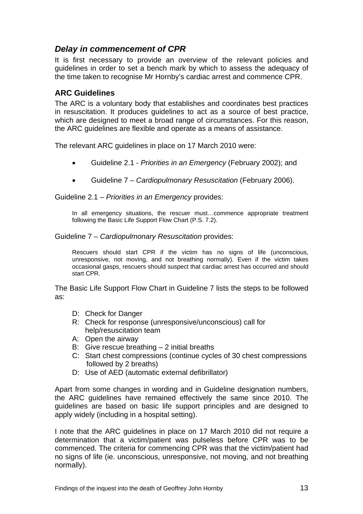## *Delay in commencement of CPR*

It is first necessary to provide an overview of the relevant policies and guidelines in order to set a bench mark by which to assess the adequacy of the time taken to recognise Mr Hornby's cardiac arrest and commence CPR.

#### **ARC Guidelines**

The ARC is a voluntary body that establishes and coordinates best practices in resuscitation. It produces guidelines to act as a source of best practice, which are designed to meet a broad range of circumstances. For this reason, the ARC guidelines are flexible and operate as a means of assistance.

The relevant ARC guidelines in place on 17 March 2010 were:

- Guideline 2.1 *Priorities in an Emergency* (February 2002); and
- Guideline 7 *Cardiopulmonary Resuscitation* (February 2006).

Guideline 2.1 – *Priorities in an Emergency* provides:

In all emergency situations, the rescuer must...commence appropriate treatment following the Basic Life Support Flow Chart (P.S. 7.2).

#### Guideline 7 – *Cardiopulmonary Resuscitation* provides:

Rescuers should start CPR if the victim has no signs of life (unconscious, unresponsive, not moving, and not breathing normally). Even if the victim takes occasional gasps, rescuers should suspect that cardiac arrest has occurred and should start CPR.

The Basic Life Support Flow Chart in Guideline 7 lists the steps to be followed as:

- D: Check for Danger
- R: Check for response (unresponsive/unconscious) call for help/resuscitation team
- A: Open the airway
- B: Give rescue breathing  $-2$  initial breaths
- C: Start chest compressions (continue cycles of 30 chest compressions followed by 2 breaths)
- D: Use of AED (automatic external defibrillator)

Apart from some changes in wording and in Guideline designation numbers, the ARC guidelines have remained effectively the same since 2010. The guidelines are based on basic life support principles and are designed to apply widely (including in a hospital setting).

I note that the ARC guidelines in place on 17 March 2010 did not require a determination that a victim/patient was pulseless before CPR was to be commenced. The criteria for commencing CPR was that the victim/patient had no signs of life (ie. unconscious, unresponsive, not moving, and not breathing normally).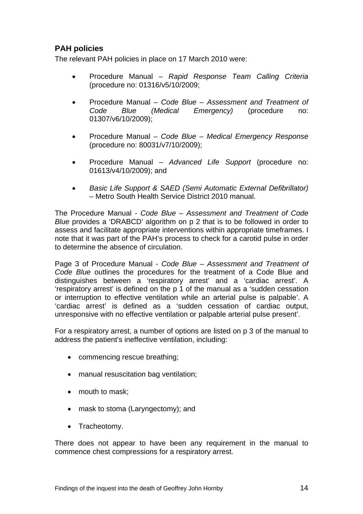# **PAH policies**

The relevant PAH policies in place on 17 March 2010 were:

- Procedure Manual *Rapid Response Team Calling Criteria* (procedure no: 01316/v5/10/2009;
- Procedure Manual *Code Blue Assessment and Treatment of Code Blue (Medical Emergency)* (procedure no: 01307/v6/10/2009);
- Procedure Manual *Code Blue Medical Emergency Response* (procedure no: 80031/v7/10/2009);
- Procedure Manual *Advanced Life Support* (procedure no: 01613/v4/10/2009); and
- *Basic Life Support & SAED (Semi Automatic External Defibrillator)* – Metro South Health Service District 2010 manual.

The Procedure Manual - *Code Blue – Assessment and Treatment of Code Blue* provides a 'DRABCD' algorithm on p 2 that is to be followed in order to assess and facilitate appropriate interventions within appropriate timeframes. I note that it was part of the PAH's process to check for a carotid pulse in order to determine the absence of circulation.

Page 3 of Procedure Manual - *Code Blue – Assessment and Treatment of Code Blue* outlines the procedures for the treatment of a Code Blue and distinguishes between a 'respiratory arrest' and a 'cardiac arrest'. A 'respiratory arrest' is defined on the p 1 of the manual as a 'sudden cessation or interruption to effective ventilation while an arterial pulse is palpable'. A 'cardiac arrest' is defined as a 'sudden cessation of cardiac output, unresponsive with no effective ventilation or palpable arterial pulse present'.

For a respiratory arrest, a number of options are listed on p 3 of the manual to address the patient's ineffective ventilation, including:

- commencing rescue breathing;
- manual resuscitation bag ventilation;
- mouth to mask:
- mask to stoma (Laryngectomy); and
- Tracheotomy.

There does not appear to have been any requirement in the manual to commence chest compressions for a respiratory arrest.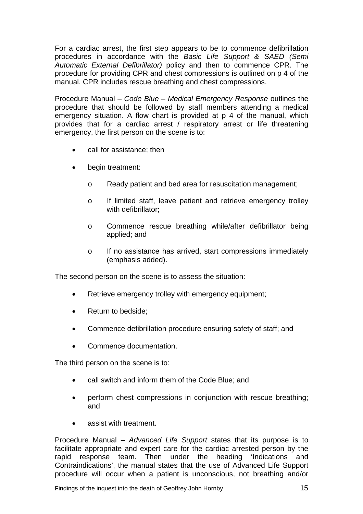For a cardiac arrest, the first step appears to be to commence defibrillation procedures in accordance with the *Basic Life Support & SAED (Semi*  Automatic External Defibrillator) policy and then to commence CPR. The procedure for providing CPR and chest compressions is outlined on p 4 of the manual. CPR includes rescue breathing and chest compressions.

Procedure Manual – *Code Blue – Medical Emergency Response* outlines the procedure that should be followed by staff members attending a medical emergency situation. A flow chart is provided at p 4 of the manual, which provides that for a cardiac arrest / respiratory arrest or life threatening emergency, the first person on the scene is to:

- call for assistance; then
- begin treatment:
	- o Ready patient and bed area for resuscitation management;
	- o If limited staff, leave patient and retrieve emergency trolley with defibrillator;
	- o Commence rescue breathing while/after defibrillator being applied; and
	- o If no assistance has arrived, start compressions immediately (emphasis added).

The second person on the scene is to assess the situation:

- Retrieve emergency trolley with emergency equipment;
- Return to bedside:
- Commence defibrillation procedure ensuring safety of staff; and
- Commence documentation.

The third person on the scene is to:

- call switch and inform them of the Code Blue; and
- perform chest compressions in conjunction with rescue breathing; and
- assist with treatment.

Procedure Manual – *Advanced Life Support* states that its purpose is to facilitate appropriate and expert care for the cardiac arrested person by the rapid response team. Then under the heading 'Indications and Contraindications', the manual states that the use of Advanced Life Support procedure will occur when a patient is unconscious, not breathing and/or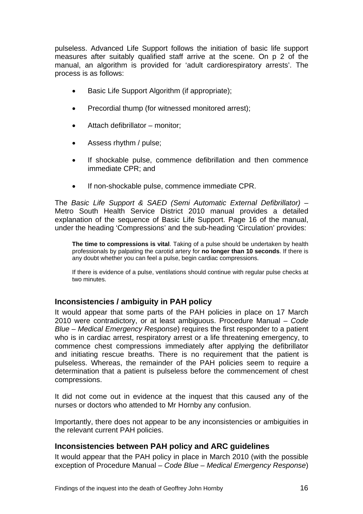<span id="page-18-0"></span>pulseless. Advanced Life Support follows the initiation of basic life support measures after suitably qualified staff arrive at the scene. On p 2 of the manual, an algorithm is provided for 'adult cardiorespiratory arrests'. The process is as follows:

- Basic Life Support Algorithm (if appropriate);
- Precordial thump (for witnessed monitored arrest);
- Attach defibrillator monitor;
- Assess rhythm / pulse;
- If shockable pulse, commence defibrillation and then commence immediate CPR; and
- If non-shockable pulse, commence immediate CPR.

The *Basic Life Support & SAED (Semi Automatic External Defibrillator)* – Metro South Health Service District 2010 manual provides a detailed explanation of the sequence of Basic Life Support. Page 16 of the manual, under the heading 'Compressions' and the sub-heading 'Circulation' provides:

**The time to compressions is vital**. Taking of a pulse should be undertaken by health professionals by palpating the carotid artery for **no longer than 10 seconds**. If there is any doubt whether you can feel a pulse, begin cardiac compressions.

If there is evidence of a pulse, ventilations should continue with regular pulse checks at two minutes.

#### **Inconsistencies / ambiguity in PAH policy**

It would appear that some parts of the PAH policies in place on 17 March 2010 were contradictory, or at least ambiguous. Procedure Manual – *Code Blue – Medical Emergency Response*) requires the first responder to a patient who is in cardiac arrest, respiratory arrest or a life threatening emergency, to commence chest compressions immediately after applying the defibrillator and initiating rescue breaths. There is no requirement that the patient is pulseless. Whereas, the remainder of the PAH policies seem to require a determination that a patient is pulseless before the commencement of chest compressions.

It did not come out in evidence at the inquest that this caused any of the nurses or doctors who attended to Mr Hornby any confusion.

Importantly, there does not appear to be any inconsistencies or ambiguities in the relevant current PAH policies.

#### **Inconsistencies between PAH policy and ARC guidelines**

It would appear that the PAH policy in place in March 2010 (with the possible exception of Procedure Manual – *Code Blue – Medical Emergency Response*)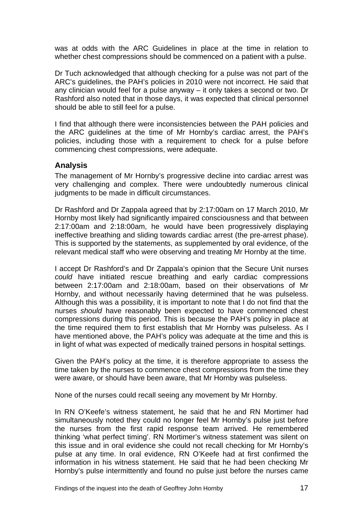<span id="page-19-0"></span>was at odds with the ARC Guidelines in place at the time in relation to whether chest compressions should be commenced on a patient with a pulse.

Dr Tuch acknowledged that although checking for a pulse was not part of the ARC's guidelines, the PAH's policies in 2010 were not incorrect. He said that any clinician would feel for a pulse anyway – it only takes a second or two. Dr Rashford also noted that in those days, it was expected that clinical personnel should be able to still feel for a pulse.

I find that although there were inconsistencies between the PAH policies and the ARC guidelines at the time of Mr Hornby's cardiac arrest, the PAH's policies, including those with a requirement to check for a pulse before commencing chest compressions, were adequate.

#### **Analysis**

The management of Mr Hornby's progressive decline into cardiac arrest was very challenging and complex. There were undoubtedly numerous clinical judgments to be made in difficult circumstances.

Dr Rashford and Dr Zappala agreed that by 2:17:00am on 17 March 2010, Mr Hornby most likely had significantly impaired consciousness and that between 2:17:00am and 2:18:00am, he would have been progressively displaying ineffective breathing and sliding towards cardiac arrest (the pre-arrest phase). This is supported by the statements, as supplemented by oral evidence, of the relevant medical staff who were observing and treating Mr Hornby at the time.

I accept Dr Rashford's and Dr Zappala's opinion that the Secure Unit nurses *could* have initiated rescue breathing and early cardiac compressions between 2:17:00am and 2:18:00am, based on their observations of Mr Hornby, and without necessarily having determined that he was pulseless. Although this was a possibility, it is important to note that I do not find that the nurses *should* have reasonably been expected to have commenced chest compressions during this period. This is because the PAH's policy in place at the time required them to first establish that Mr Hornby was pulseless. As I have mentioned above, the PAH's policy was adequate at the time and this is in light of what was expected of medically trained persons in hospital settings.

Given the PAH's policy at the time, it is therefore appropriate to assess the time taken by the nurses to commence chest compressions from the time they were aware, or should have been aware, that Mr Hornby was pulseless.

None of the nurses could recall seeing any movement by Mr Hornby.

In RN O'Keefe's witness statement, he said that he and RN Mortimer had simultaneously noted they could no longer feel Mr Hornby's pulse just before the nurses from the first rapid response team arrived. He remembered thinking 'what perfect timing'. RN Mortimer's witness statement was silent on this issue and in oral evidence she could not recall checking for Mr Hornby's pulse at any time. In oral evidence, RN O'Keefe had at first confirmed the information in his witness statement. He said that he had been checking Mr Hornby's pulse intermittently and found no pulse just before the nurses came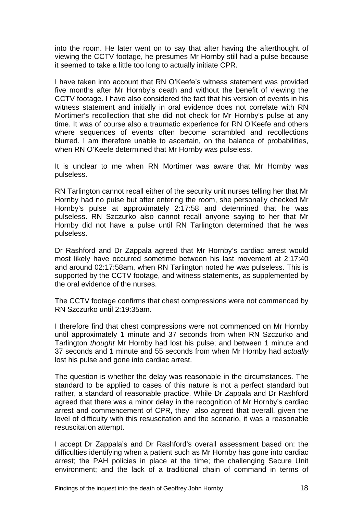into the room. He later went on to say that after having the afterthought of viewing the CCTV footage, he presumes Mr Hornby still had a pulse because it seemed to take a little too long to actually initiate CPR.

I have taken into account that RN O'Keefe's witness statement was provided five months after Mr Hornby's death and without the benefit of viewing the CCTV footage. I have also considered the fact that his version of events in his witness statement and initially in oral evidence does not correlate with RN Mortimer's recollection that she did not check for Mr Hornby's pulse at any time. It was of course also a traumatic experience for RN O'Keefe and others where sequences of events often become scrambled and recollections blurred. I am therefore unable to ascertain, on the balance of probabilities, when RN O'Keefe determined that Mr Hornby was pulseless.

It is unclear to me when RN Mortimer was aware that Mr Hornby was pulseless.

RN Tarlington cannot recall either of the security unit nurses telling her that Mr Hornby had no pulse but after entering the room, she personally checked Mr Hornby's pulse at approximately 2:17:58 and determined that he was pulseless. RN Szczurko also cannot recall anyone saying to her that Mr Hornby did not have a pulse until RN Tarlington determined that he was pulseless.

Dr Rashford and Dr Zappala agreed that Mr Hornby's cardiac arrest would most likely have occurred sometime between his last movement at 2:17:40 and around 02:17:58am, when RN Tarlington noted he was pulseless. This is supported by the CCTV footage, and witness statements, as supplemented by the oral evidence of the nurses.

The CCTV footage confirms that chest compressions were not commenced by RN Szczurko until 2:19:35am.

I therefore find that chest compressions were not commenced on Mr Hornby until approximately 1 minute and 37 seconds from when RN Szczurko and Tarlington *thought* Mr Hornby had lost his pulse; and between 1 minute and 37 seconds and 1 minute and 55 seconds from when Mr Hornby had *actually* lost his pulse and gone into cardiac arrest.

The question is whether the delay was reasonable in the circumstances. The standard to be applied to cases of this nature is not a perfect standard but rather, a standard of reasonable practice. While Dr Zappala and Dr Rashford agreed that there was a minor delay in the recognition of Mr Hornby's cardiac arrest and commencement of CPR, they also agreed that overall, given the level of difficulty with this resuscitation and the scenario, it was a reasonable resuscitation attempt.

I accept Dr Zappala's and Dr Rashford's overall assessment based on: the difficulties identifying when a patient such as Mr Hornby has gone into cardiac arrest; the PAH policies in place at the time; the challenging Secure Unit environment; and the lack of a traditional chain of command in terms of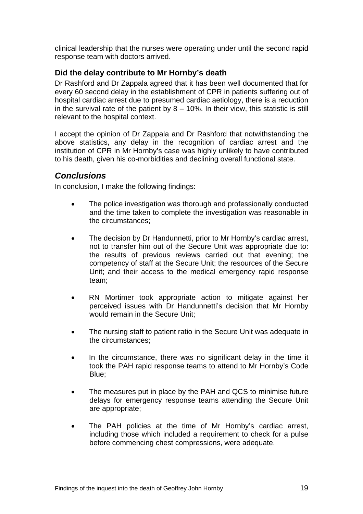<span id="page-21-0"></span>clinical leadership that the nurses were operating under until the second rapid response team with doctors arrived.

#### **Did the delay contribute to Mr Hornby's death**

Dr Rashford and Dr Zappala agreed that it has been well documented that for every 60 second delay in the establishment of CPR in patients suffering out of hospital cardiac arrest due to presumed cardiac aetiology, there is a reduction in the survival rate of the patient by  $8 - 10\%$ . In their view, this statistic is still relevant to the hospital context.

I accept the opinion of Dr Zappala and Dr Rashford that notwithstanding the above statistics, any delay in the recognition of cardiac arrest and the institution of CPR in Mr Hornby's case was highly unlikely to have contributed to his death, given his co-morbidities and declining overall functional state.

#### *Conclusions*

In conclusion, I make the following findings:

- The police investigation was thorough and professionally conducted and the time taken to complete the investigation was reasonable in the circumstances;
- The decision by Dr Handunnetti, prior to Mr Hornby's cardiac arrest, not to transfer him out of the Secure Unit was appropriate due to: the results of previous reviews carried out that evening; the competency of staff at the Secure Unit; the resources of the Secure Unit; and their access to the medical emergency rapid response team;
- RN Mortimer took appropriate action to mitigate against her perceived issues with Dr Handunnetti's decision that Mr Hornby would remain in the Secure Unit;
- The nursing staff to patient ratio in the Secure Unit was adequate in the circumstances;
- In the circumstance, there was no significant delay in the time it took the PAH rapid response teams to attend to Mr Hornby's Code Blue;
- The measures put in place by the PAH and QCS to minimise future delays for emergency response teams attending the Secure Unit are appropriate;
- The PAH policies at the time of Mr Hornby's cardiac arrest, including those which included a requirement to check for a pulse before commencing chest compressions, were adequate.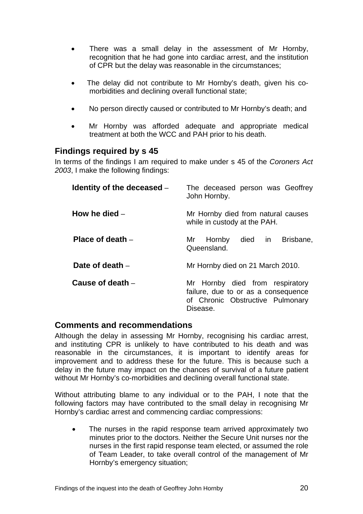- <span id="page-22-0"></span>• There was a small delay in the assessment of Mr Hornby, recognition that he had gone into cardiac arrest, and the institution of CPR but the delay was reasonable in the circumstances;
- The delay did not contribute to Mr Hornby's death, given his comorbidities and declining overall functional state;
- No person directly caused or contributed to Mr Hornby's death; and
- Mr Hornby was afforded adequate and appropriate medical treatment at both the WCC and PAH prior to his death.

#### **Findings required by s 45**

In terms of the findings I am required to make under s 45 of the *Coroners Act 2003*, I make the following findings:

| Identity of the deceased – | The deceased person was Geoffrey<br>John Hornby.                                                                       |
|----------------------------|------------------------------------------------------------------------------------------------------------------------|
| How he died -              | Mr Hornby died from natural causes<br>while in custody at the PAH.                                                     |
| Place of death $-$         | died in<br>Brisbane,<br>Hornby<br>Mr<br>Queensland.                                                                    |
| Date of death $-$          | Mr Hornby died on 21 March 2010.                                                                                       |
| Cause of death $-$         | Mr Hornby died from respiratory<br>failure, due to or as a consequence<br>of Chronic Obstructive Pulmonary<br>Disease. |

#### **Comments and recommendations**

Although the delay in assessing Mr Hornby, recognising his cardiac arrest, and instituting CPR is unlikely to have contributed to his death and was reasonable in the circumstances, it is important to identify areas for improvement and to address these for the future. This is because such a delay in the future may impact on the chances of survival of a future patient without Mr Hornby's co-morbidities and declining overall functional state.

Without attributing blame to any individual or to the PAH, I note that the following factors may have contributed to the small delay in recognising Mr Hornby's cardiac arrest and commencing cardiac compressions:

• The nurses in the rapid response team arrived approximately two minutes prior to the doctors. Neither the Secure Unit nurses nor the nurses in the first rapid response team elected, or assumed the role of Team Leader, to take overall control of the management of Mr Hornby's emergency situation;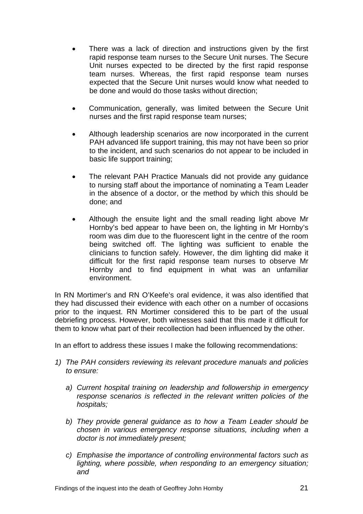- There was a lack of direction and instructions given by the first rapid response team nurses to the Secure Unit nurses. The Secure Unit nurses expected to be directed by the first rapid response team nurses. Whereas, the first rapid response team nurses expected that the Secure Unit nurses would know what needed to be done and would do those tasks without direction;
- Communication, generally, was limited between the Secure Unit nurses and the first rapid response team nurses;
- Although leadership scenarios are now incorporated in the current PAH advanced life support training, this may not have been so prior to the incident, and such scenarios do not appear to be included in basic life support training;
- The relevant PAH Practice Manuals did not provide any guidance to nursing staff about the importance of nominating a Team Leader in the absence of a doctor, or the method by which this should be done; and
- Although the ensuite light and the small reading light above Mr Hornby's bed appear to have been on, the lighting in Mr Hornby's room was dim due to the fluorescent light in the centre of the room being switched off. The lighting was sufficient to enable the clinicians to function safely. However, the dim lighting did make it difficult for the first rapid response team nurses to observe Mr Hornby and to find equipment in what was an unfamiliar environment.

In RN Mortimer's and RN O'Keefe's oral evidence, it was also identified that they had discussed their evidence with each other on a number of occasions prior to the inquest. RN Mortimer considered this to be part of the usual debriefing process. However, both witnesses said that this made it difficult for them to know what part of their recollection had been influenced by the other.

In an effort to address these issues I make the following recommendations:

- *1) The PAH considers reviewing its relevant procedure manuals and policies to ensure:* 
	- *a) Current hospital training on leadership and followership in emergency response scenarios is reflected in the relevant written policies of the hospitals;*
	- *b) They provide general guidance as to how a Team Leader should be chosen in various emergency response situations, including when a doctor is not immediately present;*
	- *c) Emphasise the importance of controlling environmental factors such as lighting, where possible, when responding to an emergency situation; and*